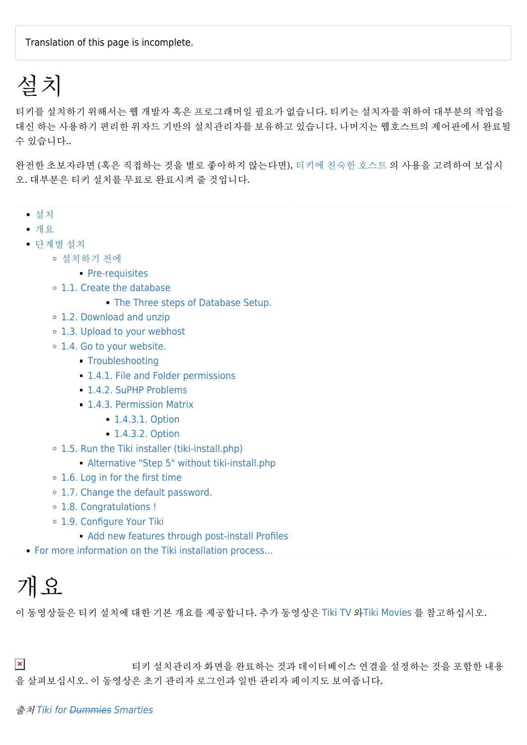Translation of this page is incomplete.

# 설치

티키를 설치하기 위해서는 웹 개발자 혹은 프로그래머일 필요가 없습니다. 티키는 설치자를 위하여 대부분의 작업을 대신 하는 사용하기 편리한 위자드 기반의 설치관리자를 보유하고 있습니다. 나머지는 웹호스트의 제어판에서 완료될 수 있습니다..

완전한 초보자라면 (혹은 직접하는 것을 별로 좋아하지 않는다면), [티키에 친숙한 호스트](http://tiki.org/Tiki%20friendly%20hosts) 의 사용을 고려하여 보십시 오. 대부분은 티키 설치를 무료로 완료시켜 줄 것입니다.

- [설치](#page--1-0)
- [개요](#page--1-0)
- [단계별 설치](#page--1-0)
	- [설치하기 전에](#page--1-0)
		- [Pre-requisites](#page--1-0)
	- o [1.1. Create the database](#page--1-0)
		- [The Three steps of Database Setup.](#The_Three_steps_of_Database_Setup.)
	- [1.2. Download and unzip](#page--1-0)
	- [1.3. Upload to your webhost](#page--1-0)
	- o [1.4. Go to your website.](#Go_to_your_website.)
		- **[Troubleshooting](#page--1-0)**
		- **[1.4.1. File and Folder permissions](#page--1-0)**
		- **[1.4.2. SuPHP Problems](#page--1-0)**
		- **[1.4.3. Permission Matrix](#page--1-0)** 
			- [1.4.3.1. Option](#page--1-0)
			- [1.4.3.2. Option](#page--1-0)
	- [1.5. Run the Tiki installer \(tiki-install.php\)](#Run_the_Tiki_installer_tiki-install.php_)
		- [Alternative "Step 5" without tiki-install.php](#Alternative_Step_5_without_tiki-install.php)
	- o [1.6. Log in for the first time](#page--1-0)
	- [1.7. Change the default password.](#Change_the_default_password.)
	- [1.8. Congratulations !](#page--1-0)
	- [1.9. Configure Your Tiki](#page--1-0)
		- **[Add new features through post-install Profiles](#page--1-0)**
- [For more information on the Tiki installation process...](#For_more_information_on_the_Tiki_installation_process...)

# 개요

이 동영상들은 티키 설치에 대한 기본 개요를 제공합니다. 추가 동영상은 [Tiki TV](http://tikiwiki.org/TikiWikiTv) 와[Tiki Movies](http://tiki.org/TikiMovies) 를 참고하십시오.

 $\pmb{\times}$ 티키 설치관리자 화면을 완료하는 것과 데이터베이스 연결을 설정하는 것을 포함한 내용 을 살펴보십시오. 이 동영상은 초기 관리자 로그인과 일반 관리자 페이지도 보여줍니다.

#### 출처 [Tiki for Dummies Smarties](http://twbasics.tikiforsmarties.com)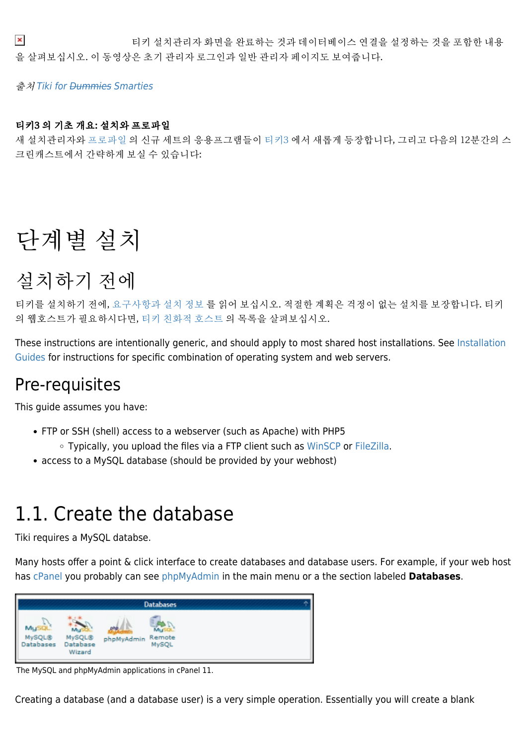$\pmb{\times}$ 티키 설치관리자 화면을 완료하는 것과 데이터베이스 연결을 설정하는 것을 포함한 내용 을 살펴보십시오. 이 동영상은 초기 관리자 로그인과 일반 관리자 페이지도 보여줍니다.

출처 [Tiki for Dummies Smarties](http://twbasics.tikiforsmarties.com)

#### 티키3 의 기초 개요: 설치와 프로파일

새 설치관리자와 [프로파일](https://doc.tiki.org/Profiles) 의 신규 세트의 응용프그램들이 [티키3](https://doc.tiki.org/Tiki3) 에서 새롭게 등장합니다, 그리고 다음의 12분간의 스 크린캐스트에서 간략하게 보실 수 있습니다:

# 단계별 설치

## 설치하기 전에

티키를 설치하기 전에, [요구사항과 설치 정보](https://doc.tiki.org/krav) 를 읽어 보십시오. 적절한 계획은 걱정이 없는 설치를 보장합니다. 티키 의 웹호스트가 필요하시다면, [티키 친화적 호스트](http://tiki.org/Tiki%20Friendly%20Hosts) 의 목록을 살펴보십시오.

These instructions are intentionally generic, and should apply to most shared host installations. See [Installation](https://doc.tiki.org/Installation-Guides) [Guides](https://doc.tiki.org/Installation-Guides) for instructions for specific combination of operating system and web servers.

### Pre-requisites

This guide assumes you have:

- FTP or SSH (shell) access to a webserver (such as Apache) with PHP5
	- Typically, you upload the files via a FTP client such as [WinSCP](http://winscp.net/) or [FileZilla.](http://filezilla-project.org/)
- access to a MySQL database (should be provided by your webhost)

### 1.1. Create the database

Tiki requires a MySQL databse.

Many hosts offer a point & click interface to create databases and database users. For example, if your web host has [cPanel](http://www.cpanel.net) you probably can see [phpMyAdmin](http://www.phpmyadmin.net/h) in the main menu or a the section labeled **Databases**.

| I                                                                                    | <b>Databases</b>                            |  |
|--------------------------------------------------------------------------------------|---------------------------------------------|--|
| $\overline{\phantom{a}}$<br>Mu<br>MySQL®<br>MySQL®<br>Database<br>atabases<br>Wizard | ohö<br>Mul<br>Remote<br>MySQL<br>phpMyAdmin |  |

The MySQL and phpMyAdmin applications in cPanel 11.

Creating a database (and a database user) is a very simple operation. Essentially you will create a blank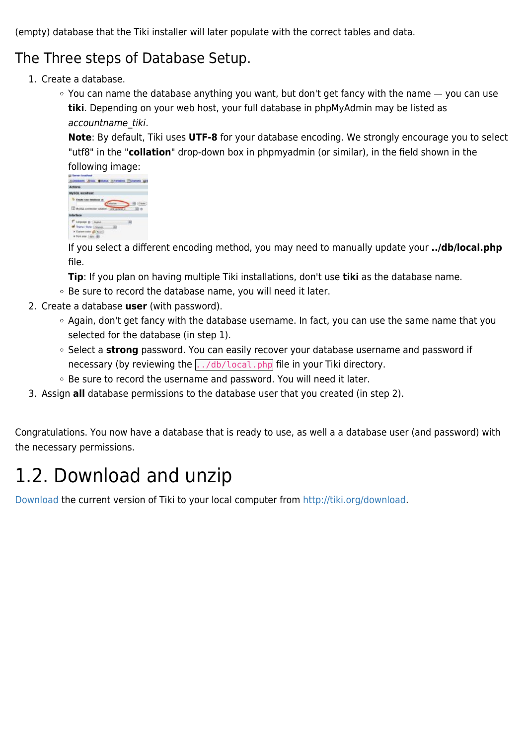(empty) database that the Tiki installer will later populate with the correct tables and data.

### The Three steps of Database Setup.

- 1. Create a database.
	- $\circ$  You can name the database anything you want, but don't get fancy with the name  $-$  you can use **tiki**. Depending on your web host, your full database in phpMyAdmin may be listed as accountname\_tiki.

**Note**: By default, Tiki uses **UTF-8** for your database encoding. We strongly encourage you to select "utf8" in the "**collation**" drop-down box in phpmyadmin (or similar), in the field shown in the following image:



If you select a different encoding method, you may need to manually update your **../db/local.php** file.

- **Tip**: If you plan on having multiple Tiki installations, don't use **tiki** as the database name.
- Be sure to record the database name, you will need it later.
- 2. Create a database **user** (with password).
	- Again, don't get fancy with the database username. In fact, you can use the same name that you selected for the database (in step 1).
	- <sup>o</sup> Select a **strong** password. You can easily recover your database username and password if necessary (by reviewing the  $\frac{1}{100}$  ... /db/local.php file in your Tiki directory.
	- Be sure to record the username and password. You will need it later.
- 3. Assign **all** database permissions to the database user that you created (in step 2).

Congratulations. You now have a database that is ready to use, as well a a database user (and password) with the necessary permissions.

## 1.2. Download and unzip

[Download](https://doc.tiki.org/Download) the current version of Tiki to your local computer from [http://tiki.org/download.](http://tiki.org/download)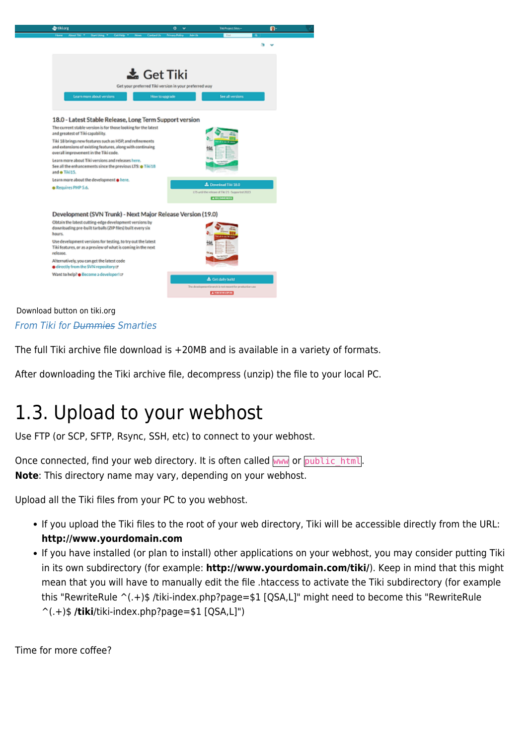

Download button on tiki.org [From Tiki for Dummies Smarties](http://twbasics.tikiforsmarties.com)

The full Tiki archive file download is +20MB and is available in a variety of formats.

After downloading the Tiki archive file, decompress (unzip) the file to your local PC.

## 1.3. Upload to your webhost

Use FTP (or SCP, SFTP, Rsync, SSH, etc) to connect to your webhost.

Once connected, find your web directory. It is often called www or public html. **Note**: This directory name may vary, depending on your webhost.

Upload all the Tiki files from your PC to you webhost.

- If you upload the Tiki files to the root of your web directory, Tiki will be accessible directly from the URL: **http://www.yourdomain.com**
- If you have installed (or plan to install) other applications on your webhost, you may consider putting Tiki in its own subdirectory (for example: **http://www.yourdomain.com/tiki/**). Keep in mind that this might mean that you will have to manually edit the file .htaccess to activate the Tiki subdirectory (for example this "RewriteRule ^(.+)\$ /tiki-index.php?page=\$1 [QSA,L]" might need to become this "RewriteRule ^(.+)\$ **/tiki**/tiki-index.php?page=\$1 [QSA,L]")

Time for more coffee?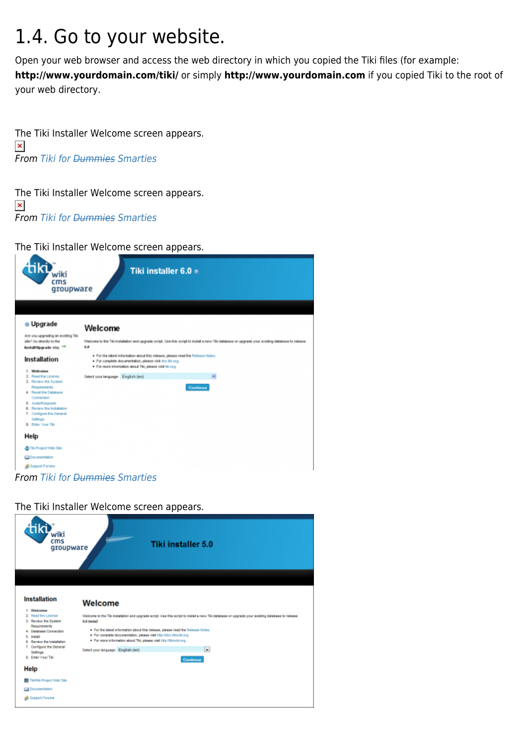## 1.4. Go to your website.

Open your web browser and access the web directory in which you copied the Tiki files (for example: **http://www.yourdomain.com/tiki/** or simply **http://www.yourdomain.com** if you copied Tiki to the root of your web directory.

The Tiki Installer Welcome screen appears.  $\pmb{\times}$ From [Tiki for Dummies Smarties](http://twbasics.tikiforsmarties.com)

The Tiki Installer Welcome screen appears.  $\pmb{\times}$ From [Tiki for Dummies Smarties](http://twbasics.tikiforsmarties.com)

The Tiki Installer Welcome screen appears.



From [Tiki for Dummies Smarties](http://twbasics.tikiforsmarties.com)

The Tiki Installer Welcome screen appears.

| wiki<br>cms<br>groupware                                                                                                                                                                                                                                                                                                     | Tiki installer 5.0                                                                                                                                                                                                                                                                                                                                                                                                                                                        |
|------------------------------------------------------------------------------------------------------------------------------------------------------------------------------------------------------------------------------------------------------------------------------------------------------------------------------|---------------------------------------------------------------------------------------------------------------------------------------------------------------------------------------------------------------------------------------------------------------------------------------------------------------------------------------------------------------------------------------------------------------------------------------------------------------------------|
| <b>Installation</b><br>1. Welcome<br>2. Read the License<br>3. Review the System<br>Requirements<br>4. Database Connection<br>5. Install<br>6. Review the Installation<br>7. Configure the General<br>Settings<br>8. Enter Your Tiki<br>Help<br><b>TRAVIU Project Web Site</b><br><b>Dig Documentation</b><br>Support Forums | Welcome<br>Welcome to the Tiki installation and upgrade script. Use this script to install a new Tiki database or upgrade your existing database to release<br>6.0 bets2<br>. For the latest information about this release, please read the Release Notes.<br>. For complete documentation, please visit http://doc.tikiwiki.org.<br>. For more information about Tiki, please visit http://tikiwiki.org.<br>$\bullet$<br>Select your language: English (en)<br>Continue |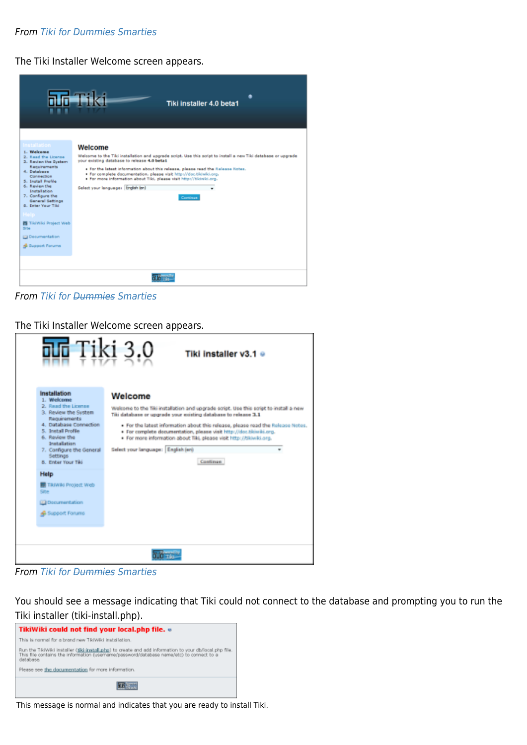#### **From Tiki for <del>Dummies</del> Smarties**

The Tiki Installer Welcome screen appears.

|                                                                                                                                                                                                                                                                                                                                                  | <b>nn-Fiki</b><br>Tiki installer 4.0 beta1                                                                                                                                                                                                                                                                                                                                                                                                                        |
|--------------------------------------------------------------------------------------------------------------------------------------------------------------------------------------------------------------------------------------------------------------------------------------------------------------------------------------------------|-------------------------------------------------------------------------------------------------------------------------------------------------------------------------------------------------------------------------------------------------------------------------------------------------------------------------------------------------------------------------------------------------------------------------------------------------------------------|
| <b>Installation</b><br>1. Welcome<br>2. Read the License<br>3. Review the System<br>Requirements<br>4. Database<br>Connection<br>5. Install Profile<br>6. Review the<br><b>Installation</b><br>7. Configure the<br>General Settings<br>B. Enter Your Tiki<br>Help<br>图 TikiWiki Project Web<br>Site<br><b>ED</b> Documentation<br>Support Forums | Welcome<br>Welcome to the Tiki installation and upgrade script. Use this script to install a new Tiki database or upgrade<br>your existing database to release 4.0 betat<br>. For the latest information about this release, please read the Release Notes.<br>. For complete documentation, please visit http://doc.tikiwiki.org.<br>. For more information about Tild, please visit http://tikiwiki.org.<br>Select your language: English (en)<br>٠<br>Continue |
|                                                                                                                                                                                                                                                                                                                                                  | an <sub>an</sub>                                                                                                                                                                                                                                                                                                                                                                                                                                                  |

From [Tiki for Dummies Smarties](http://twbasics.tikiforsmarties.com)

The Tiki Installer Welcome screen appears.

| ala Tiki 3.0<br>Tiki installer v3.1 ●                                                                                                                                                                                                                                                                                                          |                                                                                                                                                                                                                                                                                                                                                                                                                                                        |  |  |  |
|------------------------------------------------------------------------------------------------------------------------------------------------------------------------------------------------------------------------------------------------------------------------------------------------------------------------------------------------|--------------------------------------------------------------------------------------------------------------------------------------------------------------------------------------------------------------------------------------------------------------------------------------------------------------------------------------------------------------------------------------------------------------------------------------------------------|--|--|--|
| Installation<br>1. Welcome<br>2. Read the License<br>3. Review the System<br>Requirements<br>4. Database Connection<br>5. Install Profile<br>6. Review the<br>Installation<br>7. Configure the General<br><b>Settings</b><br>8. Erder Your Tiki<br>Help<br><b>TRANS Project Web</b><br>Site<br><b>Documentation</b><br><b>B</b> Support Forums | Welcome<br>Welcome to the Tiki installation and upgrade script. Use this script to install a new<br>Tiki database or upgrade your existing database to release 3.1<br>. For the labest information about this release, please read the Release Notes.<br>. For complete documentation, please visit http://doc.tikiwiki.org.<br>. For more information about Tiki, please visit http://tikiwiki.org.<br>Select your language: English (en)<br>Continue |  |  |  |
|                                                                                                                                                                                                                                                                                                                                                |                                                                                                                                                                                                                                                                                                                                                                                                                                                        |  |  |  |

From [Tiki for Dummies Smarties](http://twbasics.tikiforsmarties.com)

You should see a message indicating that Tiki could not connect to the database and prompting you to run the Tiki installer (tiki-install.php).



This message is normal and indicates that you are ready to install Tiki.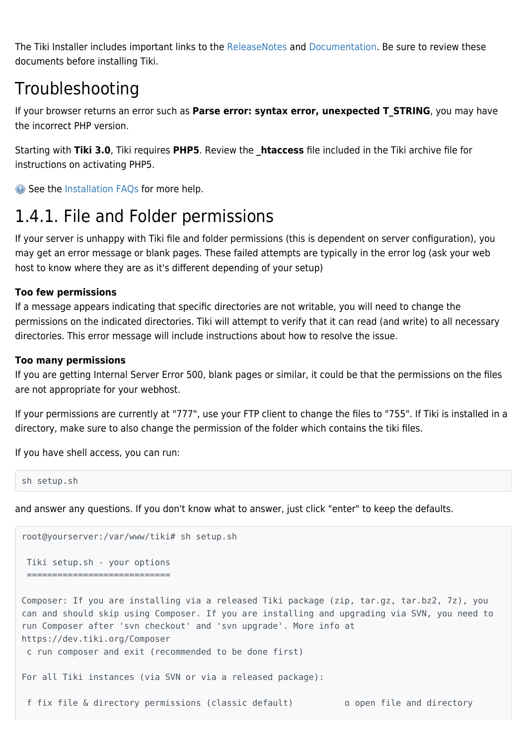The Tiki Installer includes important links to the [ReleaseNotes](https://doc.tiki.org/releasenotes) and [Documentation.](https://doc.tiki.org/Documentation) Be sure to review these documents before installing Tiki.

### Troubleshooting

If your browser returns an error such as **Parse error: syntax error, unexpected T\_STRING**, you may have the incorrect PHP version.

Starting with **Tiki 3.0**, Tiki requires **PHP5**. Review the **\_htaccess** file included in the Tiki archive file for instructions on activating PHP5.

G See the [Installation FAQs](https://doc.tiki.org/Tiki-FAQs) for more help.

## 1.4.1. File and Folder permissions

If your server is unhappy with Tiki file and folder permissions (this is dependent on server configuration), you may get an error message or blank pages. These failed attempts are typically in the error log (ask your web host to know where they are as it's different depending of your setup)

#### **Too few permissions**

If a message appears indicating that specific directories are not writable, you will need to change the permissions on the indicated directories. Tiki will attempt to verify that it can read (and write) to all necessary directories. This error message will include instructions about how to resolve the issue.

#### **Too many permissions**

If you are getting Internal Server Error 500, blank pages or similar, it could be that the permissions on the files are not appropriate for your webhost.

If your permissions are currently at "777", use your FTP client to change the files to "755". If Tiki is installed in a directory, make sure to also change the permission of the folder which contains the tiki files.

If you have shell access, you can run:

```
sh setup.sh
```
and answer any questions. If you don't know what to answer, just click "enter" to keep the defaults.

```
root@yourserver:/var/www/tiki# sh setup.sh
 Tiki setup.sh - your options
  ============================
Composer: If you are installing via a released Tiki package (zip, tar.gz, tar.bz2, 7z), you
can and should skip using Composer. If you are installing and upgrading via SVN, you need to
run Composer after 'svn checkout' and 'svn upgrade'. More info at
https://dev.tiki.org/Composer
 c run composer and exit (recommended to be done first)
For all Tiki instances (via SVN or via a released package):
```
f fix file & directory permissions (classic default) o open file and directory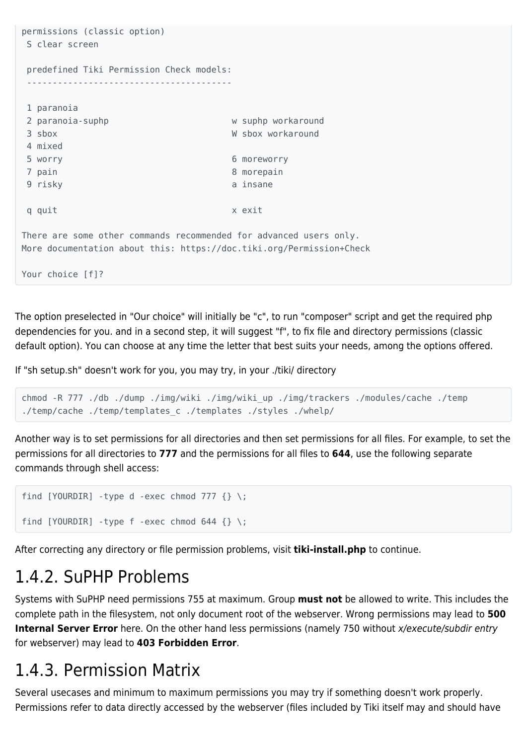```
permissions (classic option)
 S clear screen
 predefined Tiki Permission Check models:
  ----------------------------------------
 1 paranoia
2 paranoia-suphp w suphp workaround
 3 sbox W sbox workaround
 4 mixed
 5 worry 6 moreworry
7 pain 8 morepain
9 risky a insane
q quit x exit
There are some other commands recommended for advanced users only.
More documentation about this: https://doc.tiki.org/Permission+Check
Your choice [f]?
```
The option preselected in "Our choice" will initially be "c", to run "composer" script and get the required php dependencies for you. and in a second step, it will suggest "f", to fix file and directory permissions (classic default option). You can choose at any time the letter that best suits your needs, among the options offered.

If "sh setup.sh" doesn't work for you, you may try, in your ./tiki/ directory

```
chmod -R 777 ./db ./dump ./img/wiki ./img/wiki_up ./img/trackers ./modules/cache ./temp
./temp/cache ./temp/templates_c ./templates ./styles ./whelp/
```
Another way is to set permissions for all directories and then set permissions for all files. For example, to set the permissions for all directories to **777** and the permissions for all files to **644**, use the following separate commands through shell access:

```
find [YOURDIR] -type d -exec chmod 777 {} \;
find [YOURDIR] -type f -exec chmod 644 {} \;
```
After correcting any directory or file permission problems, visit **tiki-install.php** to continue.

### 1.4.2. SuPHP Problems

Systems with SuPHP need permissions 755 at maximum. Group **must not** be allowed to write. This includes the complete path in the filesystem, not only document root of the webserver. Wrong permissions may lead to **500 Internal Server Error** here. On the other hand less permissions (namely 750 without x/execute/subdir entry for webserver) may lead to **403 Forbidden Error**.

### 1.4.3. Permission Matrix

Several usecases and minimum to maximum permissions you may try if something doesn't work properly. Permissions refer to data directly accessed by the webserver (files included by Tiki itself may and should have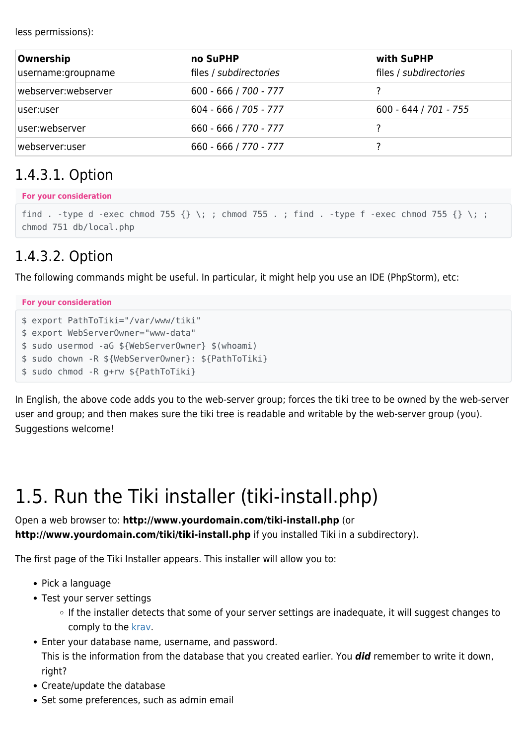less permissions):

| Ownership           | no SuPHP                | with SuPHP              |
|---------------------|-------------------------|-------------------------|
| username:groupname  | files / subdirectories  | files / subdirectories  |
| webserver:webserver | $600 - 666 / 700 - 777$ |                         |
| user:user           | $604 - 666 / 705 - 777$ | $600 - 644 / 701 - 755$ |
| user:webserver      | 660 - 666 / 770 - 777   |                         |
| webserver:user      | 660 - 666 / 770 - 777   |                         |

### 1.4.3.1. Option

#### **For your consideration**

```
find . -type d -exec chmod 755 \{\}\ \setminus\;; chmod 755 .; find . -type f -exec chmod 755 \{\}\ \setminus\;;
chmod 751 db/local.php
```
### 1.4.3.2. Option

The following commands might be useful. In particular, it might help you use an IDE (PhpStorm), etc:

**For your consideration** \$ export PathToTiki="/var/www/tiki" \$ export WebServerOwner="www-data" \$ sudo usermod -aG \${WebServerOwner} \$(whoami) \$ sudo chown -R \${WebServerOwner}: \${PathToTiki} \$ sudo chmod -R g+rw \${PathToTiki}

In English, the above code adds you to the web-server group; forces the tiki tree to be owned by the web-server user and group; and then makes sure the tiki tree is readable and writable by the web-server group (you). Suggestions welcome!

# 1.5. Run the Tiki installer (tiki-install.php)

Open a web browser to: **http://www.yourdomain.com/tiki-install.php** (or **http://www.yourdomain.com/tiki/tiki-install.php** if you installed Tiki in a subdirectory).

The first page of the Tiki Installer appears. This installer will allow you to:

- Pick a language
- Test your server settings
	- $\circ$  If the installer detects that some of your server settings are inadequate, it will suggest changes to comply to the [krav](https://doc.tiki.org/krav).
- Enter your database name, username, and password.

This is the information from the database that you created earlier. You *did* remember to write it down, right?

- Create/update the database
- Set some preferences, such as admin email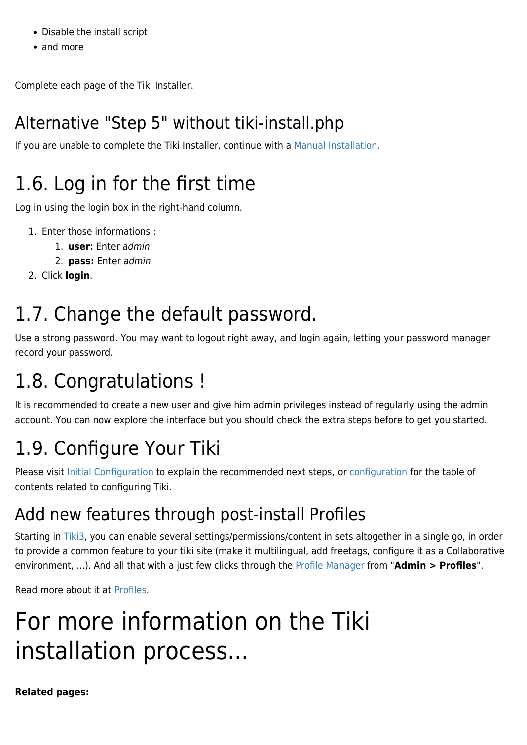- Disable the install script
- and more

Complete each page of the Tiki Installer.

## Alternative "Step 5" without tiki-install.php

If you are unable to complete the Tiki Installer, continue with a [Manual Installation](https://doc.tiki.org/Manual-Installation).

# 1.6. Log in for the first time

Log in using the login box in the right-hand column.

- 1. Enter those informations :
	- 1. **user:** Enter admin
	- 2. **pass:** Enter admin
- 2. Click **login**.

# 1.7. Change the default password.

Use a strong password. You may want to logout right away, and login again, letting your password manager record your password.

# 1.8. Congratulations !

It is recommended to create a new user and give him admin privileges instead of regularly using the admin account. You can now explore the interface but you should check the extra steps before to get you started.

# 1.9. Configure Your Tiki

Please visit [Initial Configuration](https://doc.tiki.org/Initial-Configuration) to explain the recommended next steps, or [configuration](https://doc.tiki.org/Configuration) for the table of contents related to configuring Tiki.

## Add new features through post-install Profiles

Starting in [Tiki3](https://doc.tiki.org/Tiki3), you can enable several settings/permissions/content in sets altogether in a single go, in order to provide a common feature to your tiki site (make it multilingual, add freetags, configure it as a Collaborative environment, ...). And all that with a just few clicks through the [Profile Manager](https://doc.tiki.org/Profile%20Manager) from "**Admin > Profiles**".

Read more about it at [Profiles](https://doc.tiki.org/Profiles).

# For more information on the Tiki installation process...

**Related pages:**